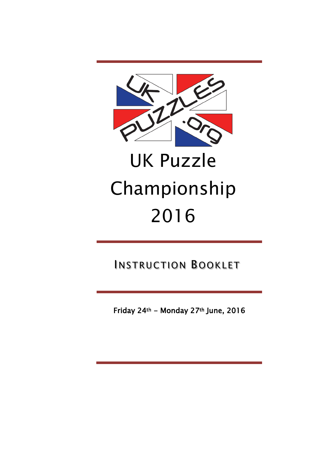

# UK Puzzle Championship 2016

INSTRUCTION BOOKLET

Friday 24th - Monday 27th June, 2016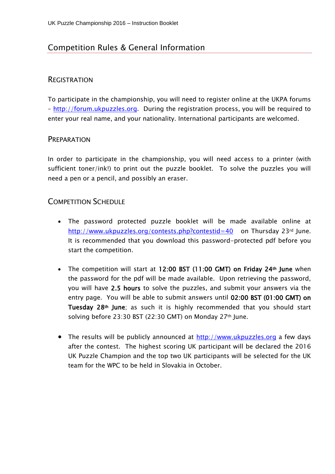# Competition Rules & General Information

#### **REGISTRATION**

To participate in the championship, you will need to register online at the UKPA forums – [http://forum.ukpuzzles.org.](http://forum.ukpuzzles.org/) During the registration process, you will be required to enter your real name, and your nationality. International participants are welcomed.

#### **PREPARATION**

In order to participate in the championship, you will need access to a printer (with sufficient toner/ink!) to print out the puzzle booklet. To solve the puzzles you will need a pen or a pencil, and possibly an eraser.

#### COMPETITION SCHEDULE

- The password protected puzzle booklet will be made available online at [http://www.ukpuzzles.org/contests.php?contestid=4](http://www.ukpuzzles.org/contests.php?contestid=)0 on Thursday 23rd June. It is recommended that you download this password-protected pdf before you start the competition.
- The competition will start at 12:00 BST (11:00 GMT) on Friday 24<sup>th</sup> June when the password for the pdf will be made available. Upon retrieving the password, you will have 2.5 hours to solve the puzzles, and submit your answers via the entry page. You will be able to submit answers until 02:00 BST (01:00 GMT) on Tuesday 28th June; as such it is highly recommended that you should start solving before 23:30 BST (22:30 GMT) on Monday 27th June.
- The results will be publicly announced at [http://www.ukpuzzles.org](http://www.ukpuzzles.org/) a few days after the contest. The highest scoring UK participant will be declared the 2016 UK Puzzle Champion and the top two UK participants will be selected for the UK team for the WPC to be held in Slovakia in October.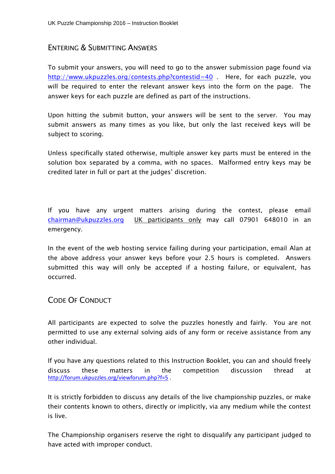#### ENTERING & SUBMITTING ANSWERS

To submit your answers, you will need to go to the answer submission page found via <http://www.ukpuzzles.org/contests.php?contestid=40> . Here, for each puzzle, you will be required to enter the relevant answer keys into the form on the page. The answer keys for each puzzle are defined as part of the instructions.

Upon hitting the submit button, your answers will be sent to the server. You may submit answers as many times as you like, but only the last received keys will be subject to scoring.

Unless specifically stated otherwise, multiple answer key parts must be entered in the solution box separated by a comma, with no spaces. Malformed entry keys may be credited later in full or part at the judges' discretion.

If you have any urgent matters arising during the contest, please email [chairman@ukpuzzles.org](mailto:chairman@ukpuzzles.org) UK participants only may call 07901 648010 in an emergency.

In the event of the web hosting service failing during your participation, email Alan at the above address your answer keys before your 2.5 hours is completed. Answers submitted this way will only be accepted if a hosting failure, or equivalent, has occurred.

#### CODE OF CONDUCT

All participants are expected to solve the puzzles honestly and fairly. You are not permitted to use any external solving aids of any form or receive assistance from any other individual.

If you have any questions related to this Instruction Booklet, you can and should freely discuss these matters in the competition discussion thread at <http://forum.ukpuzzles.org/viewforum.php?f=5> .

It is strictly forbidden to discuss any details of the live championship puzzles, or make their contents known to others, directly or implicitly, via any medium while the contest is live.

The Championship organisers reserve the right to disqualify any participant judged to have acted with improper conduct.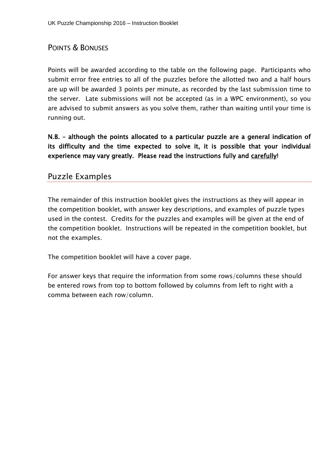### POINTS & BONUSES

Points will be awarded according to the table on the following page. Participants who submit error free entries to all of the puzzles before the allotted two and a half hours are up will be awarded 3 points per minute, as recorded by the last submission time to the server. Late submissions will not be accepted (as in a WPC environment), so you are advised to submit answers as you solve them, rather than waiting until your time is running out.

N.B. – although the points allocated to a particular puzzle are a general indication of its difficulty and the time expected to solve it, it is possible that your individual experience may vary greatly. Please read the instructions fully and carefully!

#### Puzzle Examples

The remainder of this instruction booklet gives the instructions as they will appear in the competition booklet, with answer key descriptions, and examples of puzzle types used in the contest. Credits for the puzzles and examples will be given at the end of the competition booklet. Instructions will be repeated in the competition booklet, but not the examples.

The competition booklet will have a cover page.

For answer keys that require the information from some rows/columns these should be entered rows from top to bottom followed by columns from left to right with a comma between each row/column.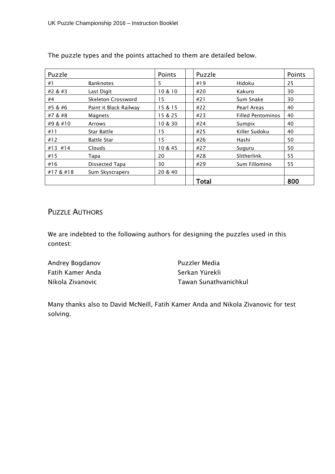| Puzzle    |                        | Points  | Puzzle |                          | Points |
|-----------|------------------------|---------|--------|--------------------------|--------|
| #1        | <b>Banknotes</b>       | 5       | #19    | Hidoku                   | 25     |
| #2 & #3   | Last Digit             | 10 & 10 | #20    | Kakuro                   | 30     |
| #4        | Skeleton Crossword     | 15      | #21    | Sum Snake                | 30     |
| #5 & #6   | Paint it Black Railway | 15 & 15 | #22    | Pearl Areas              | 40     |
| #7 & #8   | Magnets                | 15 & 25 | #23    | <b>Filled Pentominos</b> | 40     |
| #9 & #10  | Arrows                 | 10 & 30 | #24    | Sumpix                   | 40     |
| #11       | Star Battle            | 15      | #25    | Killer Sudoku            | 40     |
| #12       | <b>Battle Star</b>     | 15      | #26    | Hashi                    | 50     |
| #13 #14   | Clouds                 | 10 & 45 | #27    | Suguru                   | 50     |
| #15       | Tapa                   | 20      | #28    | Slitherlink              | 55     |
| #16       | Dissected Tapa         | 30      | #29    | Sum Fillomino            | 55     |
| #17 & #18 | Sum Skyscrapers        | 20 & 40 |        |                          |        |
|           |                        |         | Total  |                          | 800    |

The puzzle types and the points attached to them are detailed below.

# PUZZLE AUTHORS

We are indebted to the following authors for designing the puzzles used in this contest:

| Andrey Bogdanov  | Puzzler Media         |
|------------------|-----------------------|
| Fatih Kamer Anda | Serkan Yürekli        |
| Nikola Zivanovic | Tawan Sunathvanichkul |

Many thanks also to David McNeill, Fatih Kamer Anda and Nikola Zivanovic for test solving.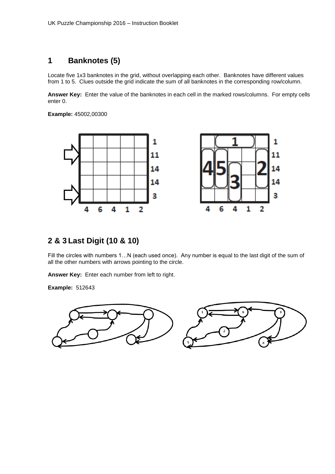# **1 Banknotes (5)**

Locate five 1x3 banknotes in the grid, without overlapping each other. Banknotes have different values from 1 to 5. Clues outside the grid indicate the sum of all banknotes in the corresponding row/column.

**Answer Key:** Enter the value of the banknotes in each cell in the marked rows/columns. For empty cells enter 0.

**Example:** 45002,00300



# **2 & 3 Last Digit (10 & 10)**

Fill the circles with numbers 1...N (each used once). Any number is equal to the last digit of the sum of all the other numbers with arrows pointing to the circle.

**Answer Key:** Enter each number from left to right.

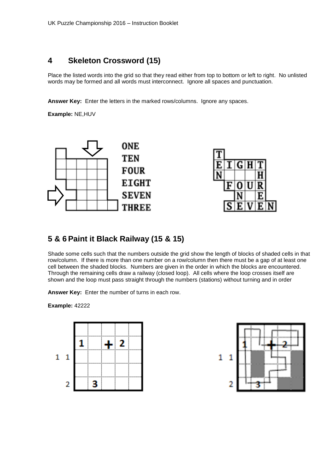### **4 Skeleton Crossword (15)**

Place the listed words into the grid so that they read either from top to bottom or left to right. No unlisted words may be formed and all words must interconnect. Ignore all spaces and punctuation.

**Answer Key:** Enter the letters in the marked rows/columns. Ignore any spaces.

**Example:** NE,HUV





# **5 & 6 Paint it Black Railway (15 & 15)**

Shade some cells such that the numbers outside the grid show the length of blocks of shaded cells in that row/column. If there is more than one number on a row/column then there must be a gap of at least one cell between the shaded blocks. Numbers are given in the order in which the blocks are encountered. Through the remaining cells draw a railway (closed loop). All cells where the loop crosses itself are shown and the loop must pass straight through the numbers (stations) without turning and in order

**Answer Key:** Enter the number of turns in each row.



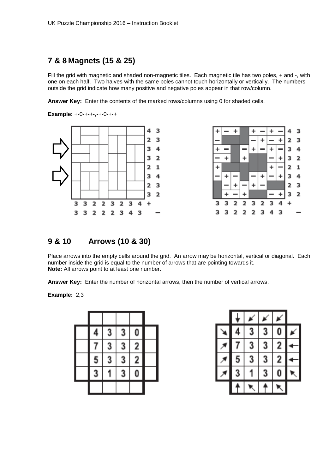# **7 & 8 Magnets (15 & 25)**

Fill the grid with magnetic and shaded non-magnetic tiles. Each magnetic tile has two poles, + and -, with one on each half. Two halves with the same poles cannot touch horizontally or vertically. The numbers outside the grid indicate how many positive and negative poles appear in that row/column.

**Answer Key:** Enter the contents of the marked rows/columns using 0 for shaded cells.

**Example:** +-0-+-+-,-+-0-+-+





# **9 & 10 Arrows (10 & 30)**

Place arrows into the empty cells around the grid. An arrow may be horizontal, vertical or diagonal. Each number inside the grid is equal to the number of arrows that are pointing towards it. **Note:** All arrows point to at least one number.

**Answer Key:** Enter the number of horizontal arrows, then the number of vertical arrows.

**Example:** 2,3

| 4                       | 3 | $\overline{\mathbf{3}}$ | 0              |  |
|-------------------------|---|-------------------------|----------------|--|
| 7                       | 3 | 3                       | $\overline{2}$ |  |
| $\overline{\mathbf{5}}$ | 3 | 3                       | $\overline{2}$ |  |
| 3                       |   | 3                       | 0              |  |
|                         |   |                         |                |  |

| 4 | 3 | 3 | 0              |  |
|---|---|---|----------------|--|
| 7 | 3 | 3 | $\overline{2}$ |  |
| 5 | 3 | 3 | $\overline{2}$ |  |
| 3 |   | 3 | 0              |  |
|   |   |   |                |  |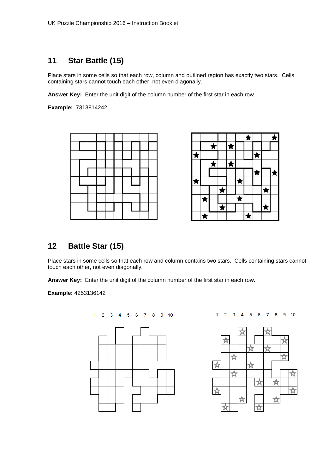# **11 Star Battle (15)**

Place stars in some cells so that each row, column and outlined region has exactly two stars. Cells containing stars cannot touch each other, not even diagonally.

**Answer Key:** Enter the unit digit of the column number of the first star in each row.

**Example:** 7313814242



|   |   |            |            |   |   | ★ |  |  |
|---|---|------------|------------|---|---|---|--|--|
|   |   | R          |            |   |   |   |  |  |
|   |   |            |            |   |   |   |  |  |
|   |   | $\bigstar$ |            | ★ |   |   |  |  |
|   |   |            |            |   |   |   |  |  |
| Â |   |            |            |   |   |   |  |  |
|   |   |            | $\bigstar$ |   |   |   |  |  |
|   | ₳ |            |            |   | A |   |  |  |
|   |   |            | ★          |   |   |   |  |  |
|   |   |            |            |   |   |   |  |  |

# **12 Battle Star (15)**

Place stars in some cells so that each row and column contains two stars. Cells containing stars cannot touch each other, not even diagonally.

**Answer Key:** Enter the unit digit of the column number of the first star in each row.

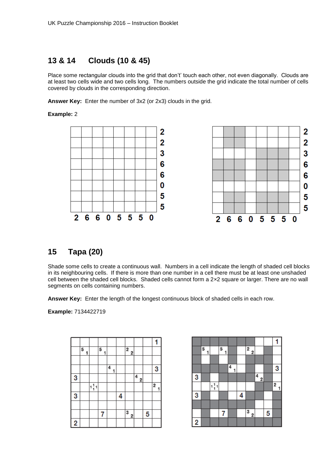# **13 & 14 Clouds (10 & 45)**

Place some rectangular clouds into the grid that don't' touch each other, not even diagonally. Clouds are at least two cells wide and two cells long. The numbers outside the grid indicate the total number of cells covered by clouds in the corresponding direction.

**Answer Key:** Enter the number of 3x2 (or 2x3) clouds in the grid.

#### **Example:** 2



### **15 Tapa (20)**

Shade some cells to create a continuous wall. Numbers in a cell indicate the length of shaded cell blocks in its neighbouring cells. If there is more than one number in a cell there must be at least one unshaded cell between the shaded cell blocks. Shaded cells cannot form a 2*×*2 square or larger. There are no wall segments on cells containing numbers.

**Answer Key:** Enter the length of the longest continuous block of shaded cells in each row.

|   | 5 |                 | 5<br>1 |        |   | $\overline{\mathbf{2}}$<br>$\overline{2}$ |        |   |                               |
|---|---|-----------------|--------|--------|---|-------------------------------------------|--------|---|-------------------------------|
|   |   |                 |        |        |   |                                           |        |   |                               |
|   |   |                 |        | 4<br>1 |   |                                           |        |   | 3                             |
| 3 |   |                 |        |        |   |                                           | 4<br>2 |   |                               |
|   |   | $1\frac{1}{1}1$ |        |        |   |                                           |        |   | $\overline{\mathbf{2}}$<br>1, |
| 3 |   |                 |        |        | 4 |                                           |        |   |                               |
|   |   |                 |        |        |   |                                           |        |   |                               |
|   |   |                 | 7      |        |   | 3<br>2                                    |        | 5 |                               |
| 2 |   |                 |        |        |   |                                           |        |   |                               |

|   | 5<br>1 |                 | 5 |        |   | $\frac{1}{2}$<br>$\frac{2}{7}$ |               |   |                |
|---|--------|-----------------|---|--------|---|--------------------------------|---------------|---|----------------|
|   |        |                 |   |        |   |                                |               |   |                |
|   |        |                 |   | 4<br>1 |   |                                |               |   | 3              |
| 3 |        |                 |   |        |   |                                | $\frac{4}{9}$ |   |                |
|   |        | $1\frac{1}{1}1$ |   |        |   |                                |               |   | $\overline{2}$ |
| 3 |        |                 |   |        | 4 |                                |               |   |                |
|   |        |                 |   |        |   |                                |               |   |                |
|   |        |                 | 7 |        |   | $\frac{1}{3}$ $\frac{2}{7}$    |               | 5 |                |
| 2 |        |                 |   |        |   |                                |               |   |                |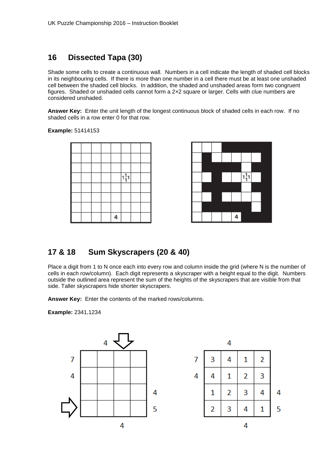# **16 Dissected Tapa (30)**

Shade some cells to create a continuous wall. Numbers in a cell indicate the length of shaded cell blocks in its neighbouring cells. If there is more than one number in a cell there must be at least one unshaded cell between the shaded cell blocks. In addition, the shaded and unshaded areas form two congruent figures. Shaded or unshaded cells cannot form a 2*×*2 square or larger. Cells with clue numbers are considered unshaded.

**Answer Key:** Enter the unit length of the longest continuous block of shaded cells in each row. If no shaded cells in a row enter 0 for that row.

**Example:** 51414153





# **17 & 18 Sum Skyscrapers (20 & 40)**

Place a digit from 1 to N once each into every row and column inside the grid (where N is the number of cells in each row/column). Each digit represents a skyscraper with a height equal to the digit. Numbers outside the outlined area represent the sum of the heights of the skyscrapers that are visible from that side. Taller skyscrapers hide shorter skyscrapers.

**Answer Key:** Enter the contents of the marked rows/columns.

**Example:** 2341,1234



|   |   | 4 |   |   |   |
|---|---|---|---|---|---|
| 7 | 3 | 4 | 1 | 2 |   |
| 4 | 4 | 1 | 2 | 3 |   |
|   | 1 | 2 | 3 | 4 | 4 |
|   | 2 | 3 | 4 | 1 | 5 |
|   |   |   | 4 |   |   |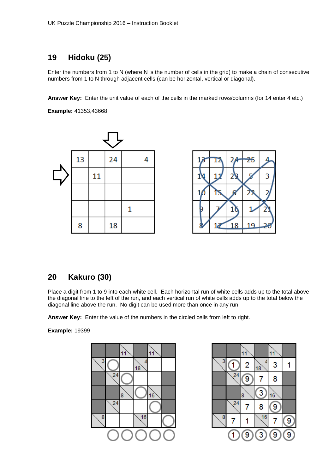# **19 Hidoku (25)**

Enter the numbers from 1 to N (where N is the number of cells in the grid) to make a chain of consecutive numbers from 1 to N through adjacent cells (can be horizontal, vertical or diagonal).

**Answer Key:** Enter the unit value of each of the cells in the marked rows/columns (for 14 enter 4 etc.)

**Example:** 41353,43668





# **20 Kakuro (30)**

Place a digit from 1 to 9 into each white cell. Each horizontal run of white cells adds up to the total above the diagonal line to the left of the run, and each vertical run of white cells adds up to the total below the diagonal line above the run. No digit can be used more than once in any run.

**Answer Key:** Enter the value of the numbers in the circled cells from left to right.



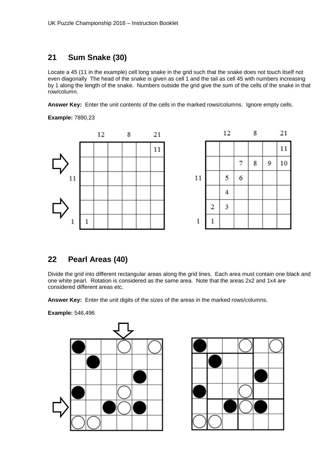# **21 Sum Snake (30)**

Locate a 45 (11 in the example) cell long snake in the grid such that the snake does not touch itself not even diagonally The head of the snake is given as cell 1 and the tail as cell 45 with numbers increasing by 1 along the length of the snake. Numbers outside the grid give the sum of the cells of the snake in that row/column.

**Answer Key:** Enter the unit contents of the cells in the marked rows/columns. Ignore empty cells.

**Example:** 7890,23



# **22 Pearl Areas (40)**

Divide the grid into different rectangular areas along the grid lines. Each area must contain one black and one white pearl. Rotation is considered as the same area. Note that the areas 2x2 and 1x4 are considered different areas etc.

**Answer Key:** Enter the unit digits of the sizes of the areas in the marked rows/columns.

**Example:** 546,496



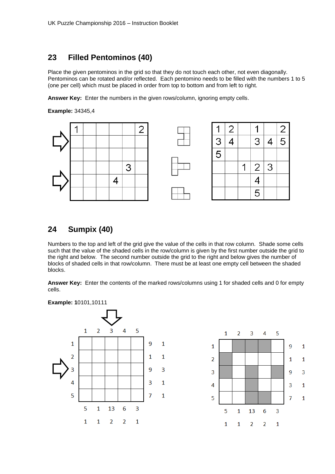### **23 Filled Pentominos (40)**

Place the given pentominos in the grid so that they do not touch each other, not even diagonally. Pentominos can be rotated and/or reflected. Each pentomino needs to be filled with the numbers 1 to 5 (one per cell) which must be placed in order from top to bottom and from left to right.

**Answer Key:** Enter the numbers in the given rows/column, ignoring empty cells.

**Example:** 34345,4



# **24 Sumpix (40)**

Numbers to the top and left of the grid give the value of the cells in that row column. Shade some cells such that the value of the shaded cells in the row/column is given by the first number outside the grid to the right and below. The second number outside the grid to the right and below gives the number of blocks of shaded cells in that row/column. There must be at least one empty cell between the shaded blocks.

**Answer Key:** Enter the contents of the marked rows/columns using 1 for shaded cells and 0 for empty cells.

**Example: 1**0101,10111



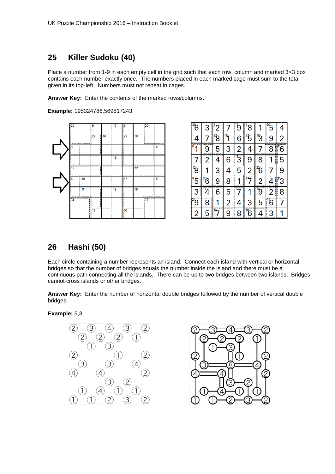# **25 Killer Sudoku (40)**

Place a number from 1-9 in each empty cell in the grid such that each row, column and marked 3*×*3 box contains each number exactly once. The numbers placed in each marked cage must sum to the total given in its top-left. Numbers must not repeat in cages.

**Answer Key:** Enter the contents of the marked rows/columns.

**Example:** 195324786,569817243



| 6                             | 3      | 2         |                     | 9             | 8                      |                         | 5              |         |
|-------------------------------|--------|-----------|---------------------|---------------|------------------------|-------------------------|----------------|---------|
| 4                             | i      | $^{22}$ 8 | $\overline{16}$     | 6             | $\sqrt[2]{5}$          | $\overline{\mathbb{B}}$ | 9              | 2       |
| 8                             | 9      | 5         | 3                   | 2             | I<br>4                 |                         | 8              | "6<br>l |
|                               | 2      | 4         | 6                   | $\sqrt[3]{3}$ | 9                      | 8                       |                | 5       |
| $\overline{\mathcal{B}}^{12}$ |        | 3         | 4<br>T              | 5             | 2<br>I                 | $^{22}$ 6               |                | 9       |
| $^{8}5$                       | 36     | 9         | 8<br>$\parallel$    |               |                        | $\overline{2}$          | 4              | 'З      |
| 3                             |        | 6         | 5                   |               | ∥<br>1                 | $\ddot{g}$              | 2              | ┋<br>8  |
| $\vec{e}$                     | 8<br>H | 1         | I<br>$\overline{2}$ | 4             | 3                      | 5                       | $\sqrt[17]{6}$ | 7       |
| 2                             | 5      |           | 9                   | 8             | $\mathcal{B}^{\prime}$ | Δ                       | 3              |         |

# **26 Hashi (50)**

Each circle containing a number represents an island. Connect each island with vertical or horizontal bridges so that the number of bridges equals the number inside the island and there must be a continuous path connecting all the islands. There can be up to two bridges between two islands. Bridges cannot cross islands or other bridges.

**Answer Key:** Enter the number of horizontal double bridges followed by the number of vertical double bridges.

**Example:** 5,3



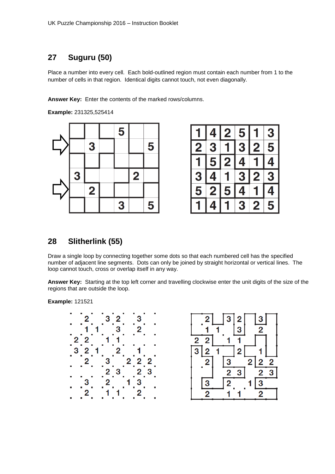# **27 Suguru (50)**

Place a number into every cell. Each bold-outlined region must contain each number from 1 to the number of cells in that region. Identical digits cannot touch, not even diagonally.

**Answer Key:** Enter the contents of the marked rows/columns.

**Example:** 231325,525414



|              |                         | $\overline{\mathbf{2}}$ | 5                       |                         | 3 |
|--------------|-------------------------|-------------------------|-------------------------|-------------------------|---|
| $\mathbf{S}$ | З                       |                         | 3                       | $\mathbf{S}$            | 5 |
|              | 5                       | $\mathbf{S}$            | 4                       |                         | 4 |
| 3            |                         |                         | $\overline{\mathbf{3}}$ | $\overline{\mathbf{c}}$ | 3 |
| 5            | $\overline{\mathbf{2}}$ | 5                       |                         |                         |   |
|              |                         |                         | 3                       | $\overline{\mathbf{c}}$ | 5 |

# **28 Slitherlink (55)**

Draw a single loop by connecting together some dots so that each numbered cell has the specified number of adjacent line segments. Dots can only be joined by straight horizontal or vertical lines. The loop cannot touch, cross or overlap itself in any way.

**Answer Key:** Starting at the top left corner and travelling clockwise enter the unit digits of the size of the regions that are outside the loop.